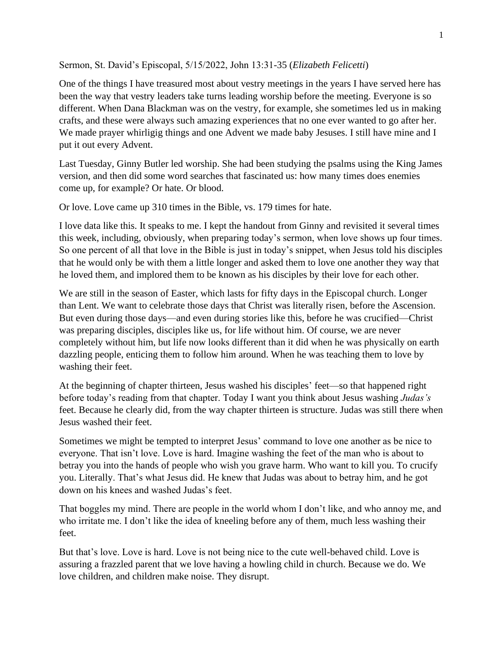Sermon, St. David's Episcopal, 5/15/2022, John 13:31-35 (*Elizabeth Felicetti*)

One of the things I have treasured most about vestry meetings in the years I have served here has been the way that vestry leaders take turns leading worship before the meeting. Everyone is so different. When Dana Blackman was on the vestry, for example, she sometimes led us in making crafts, and these were always such amazing experiences that no one ever wanted to go after her. We made prayer whirligig things and one Advent we made baby Jesuses. I still have mine and I put it out every Advent.

Last Tuesday, Ginny Butler led worship. She had been studying the psalms using the King James version, and then did some word searches that fascinated us: how many times does enemies come up, for example? Or hate. Or blood.

Or love. Love came up 310 times in the Bible, vs. 179 times for hate.

I love data like this. It speaks to me. I kept the handout from Ginny and revisited it several times this week, including, obviously, when preparing today's sermon, when love shows up four times. So one percent of all that love in the Bible is just in today's snippet, when Jesus told his disciples that he would only be with them a little longer and asked them to love one another they way that he loved them, and implored them to be known as his disciples by their love for each other.

We are still in the season of Easter, which lasts for fifty days in the Episcopal church. Longer than Lent. We want to celebrate those days that Christ was literally risen, before the Ascension. But even during those days—and even during stories like this, before he was crucified—Christ was preparing disciples, disciples like us, for life without him. Of course, we are never completely without him, but life now looks different than it did when he was physically on earth dazzling people, enticing them to follow him around. When he was teaching them to love by washing their feet.

At the beginning of chapter thirteen, Jesus washed his disciples' feet—so that happened right before today's reading from that chapter. Today I want you think about Jesus washing *Judas's* feet. Because he clearly did, from the way chapter thirteen is structure. Judas was still there when Jesus washed their feet.

Sometimes we might be tempted to interpret Jesus' command to love one another as be nice to everyone. That isn't love. Love is hard. Imagine washing the feet of the man who is about to betray you into the hands of people who wish you grave harm. Who want to kill you. To crucify you. Literally. That's what Jesus did. He knew that Judas was about to betray him, and he got down on his knees and washed Judas's feet.

That boggles my mind. There are people in the world whom I don't like, and who annoy me, and who irritate me. I don't like the idea of kneeling before any of them, much less washing their feet.

But that's love. Love is hard. Love is not being nice to the cute well-behaved child. Love is assuring a frazzled parent that we love having a howling child in church. Because we do. We love children, and children make noise. They disrupt.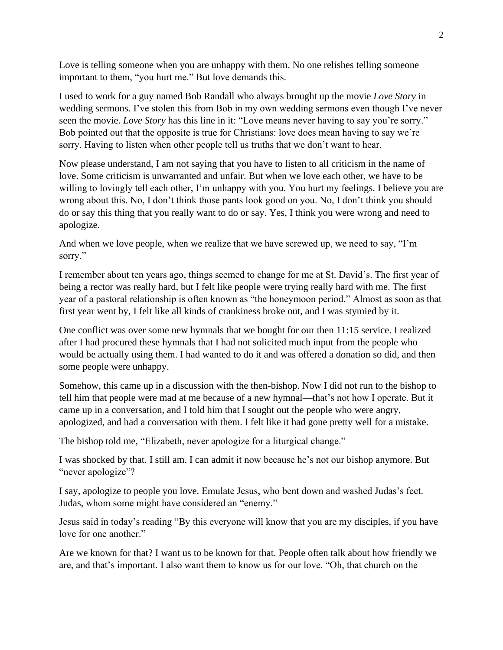Love is telling someone when you are unhappy with them. No one relishes telling someone important to them, "you hurt me." But love demands this.

I used to work for a guy named Bob Randall who always brought up the movie *Love Story* in wedding sermons. I've stolen this from Bob in my own wedding sermons even though I've never seen the movie. *Love Story* has this line in it: "Love means never having to say you're sorry." Bob pointed out that the opposite is true for Christians: love does mean having to say we're sorry. Having to listen when other people tell us truths that we don't want to hear.

Now please understand, I am not saying that you have to listen to all criticism in the name of love. Some criticism is unwarranted and unfair. But when we love each other, we have to be willing to lovingly tell each other, I'm unhappy with you. You hurt my feelings. I believe you are wrong about this. No, I don't think those pants look good on you. No, I don't think you should do or say this thing that you really want to do or say. Yes, I think you were wrong and need to apologize.

And when we love people, when we realize that we have screwed up, we need to say, "I'm sorry."

I remember about ten years ago, things seemed to change for me at St. David's. The first year of being a rector was really hard, but I felt like people were trying really hard with me. The first year of a pastoral relationship is often known as "the honeymoon period." Almost as soon as that first year went by, I felt like all kinds of crankiness broke out, and I was stymied by it.

One conflict was over some new hymnals that we bought for our then 11:15 service. I realized after I had procured these hymnals that I had not solicited much input from the people who would be actually using them. I had wanted to do it and was offered a donation so did, and then some people were unhappy.

Somehow, this came up in a discussion with the then-bishop. Now I did not run to the bishop to tell him that people were mad at me because of a new hymnal—that's not how I operate. But it came up in a conversation, and I told him that I sought out the people who were angry, apologized, and had a conversation with them. I felt like it had gone pretty well for a mistake.

The bishop told me, "Elizabeth, never apologize for a liturgical change."

I was shocked by that. I still am. I can admit it now because he's not our bishop anymore. But "never apologize"?

I say, apologize to people you love. Emulate Jesus, who bent down and washed Judas's feet. Judas, whom some might have considered an "enemy."

Jesus said in today's reading "By this everyone will know that you are my disciples, if you have love for one another."

Are we known for that? I want us to be known for that. People often talk about how friendly we are, and that's important. I also want them to know us for our love. "Oh, that church on the